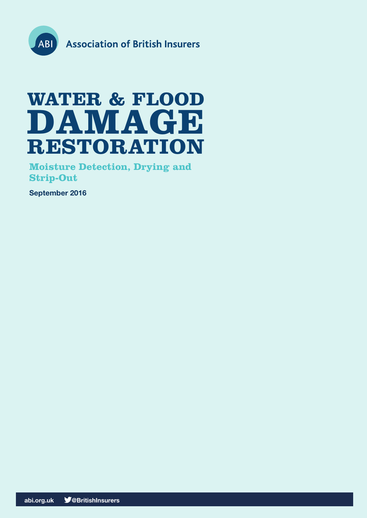

# **WATER & FLOOD DAMAGE RESTORATION**

**Moisture Detection, Drying and Strip-Out**

**September 2016**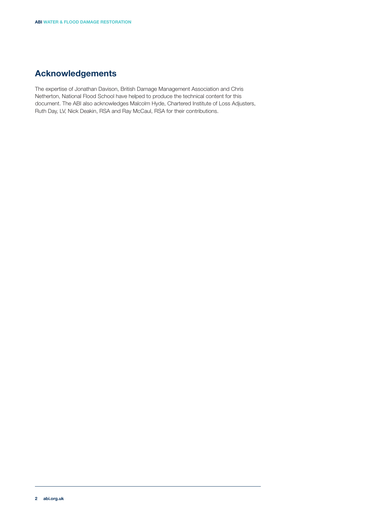# **Acknowledgements**

The expertise of Jonathan Davison, British Damage Management Association and Chris Netherton, National Flood School have helped to produce the technical content for this document. The ABI also acknowledges Malcolm Hyde, Chartered Institute of Loss Adjusters, Ruth Day, LV, Nick Deakin, RSA and Ray McCaul, RSA for their contributions.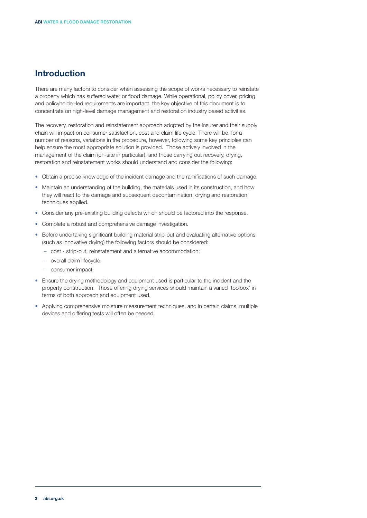## **Introduction**

There are many factors to consider when assessing the scope of works necessary to reinstate a property which has suffered water or flood damage. While operational, policy cover, pricing and policyholder-led requirements are important, the key objective of this document is to concentrate on high-level damage management and restoration industry based activities.

The recovery, restoration and reinstatement approach adopted by the insurer and their supply chain will impact on consumer satisfaction, cost and claim life cycle. There will be, for a number of reasons, variations in the procedure, however, following some key principles can help ensure the most appropriate solution is provided. Those actively involved in the management of the claim (on-site in particular), and those carrying out recovery, drying, restoration and reinstatement works should understand and consider the following:

- Obtain a precise knowledge of the incident damage and the ramifications of such damage.
- Maintain an understanding of the building, the materials used in its construction, and how they will react to the damage and subsequent decontamination, drying and restoration techniques applied.
- Consider any pre-existing building defects which should be factored into the response.
- Complete a robust and comprehensive damage investigation.
- Before undertaking significant building material strip-out and evaluating alternative options (such as innovative drying) the following factors should be considered:
	- cost strip-out, reinstatement and alternative accommodation;
	- overall claim lifecycle;
	- consumer impact.
- Ensure the drying methodology and equipment used is particular to the incident and the property construction. Those offering drying services should maintain a varied 'toolbox' in terms of both approach and equipment used.
- • Applying comprehensive moisture measurement techniques, and in certain claims, multiple devices and differing tests will often be needed.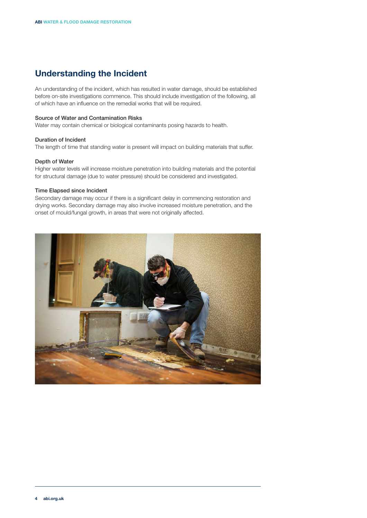# **Understanding the Incident**

An understanding of the incident, which has resulted in water damage, should be established before on-site investigations commence. This should include investigation of the following, all of which have an influence on the remedial works that will be required.

## Source of Water and Contamination Risks

Water may contain chemical or biological contaminants posing hazards to health.

## Duration of Incident

The length of time that standing water is present will impact on building materials that suffer.

## Depth of Water

Higher water levels will increase moisture penetration into building materials and the potential for structural damage (due to water pressure) should be considered and investigated.

#### Time Elapsed since Incident

Secondary damage may occur if there is a significant delay in commencing restoration and drying works. Secondary damage may also involve increased moisture penetration, and the onset of mould/fungal growth, in areas that were not originally affected.

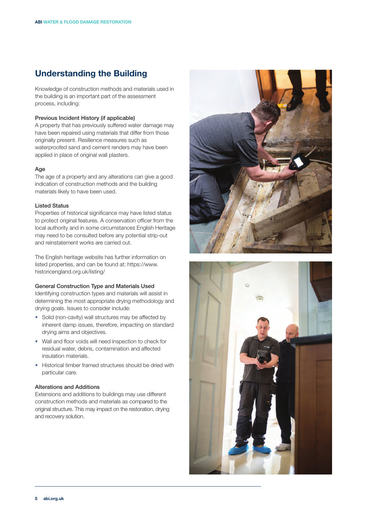# **Understanding the Building**

Knowledge of construction methods and materials used in the building is an important part of the assessment process, including:

## Previous Incident History (if applicable)

A property that has previously suffered water damage may have been repaired using materials that differ from those originally present. Resilience measures such as waterproofed sand and cement renders may have been applied in place of original wall plasters.

#### Age

The age of a property and any alterations can give a good indication of construction methods and the building materials likely to have been used.

## Listed Status

Properties of historical significance may have listed status to protect original features. A conservation officer from the local authority and in some circumstances English Heritage may need to be consulted before any potential strip-out and reinstatement works are carried out.

The English heritage website has further information on listed properties, and can be found at: https://www. historicengland.org.uk/listing/

#### General Construction Type and Materials Used

Identifying construction types and materials will assist in determining the most appropriate drying methodology and drying goals. Issues to consider include:

- Solid (non-cavity) wall structures may be affected by inherent damp issues, therefore, impacting on standard drying aims and objectives.
- Wall and floor voids will need inspection to check for residual water, debris, contamination and affected insulation materials.
- Historical timber framed structures should be dried with particular care.

## Alterations and Additions

Extensions and additions to buildings may use different construction methods and materials as compared to the original structure. This may impact on the restoration, drying and recovery solution.



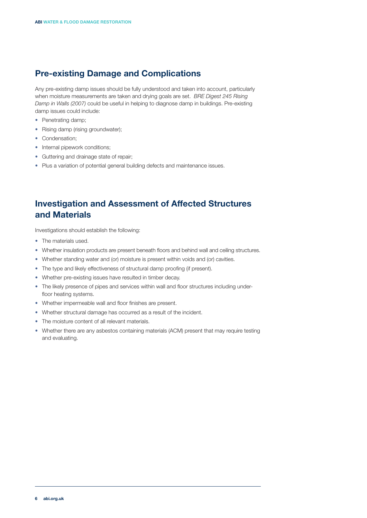# **Pre-existing Damage and Complications**

Any pre-existing damp issues should be fully understood and taken into account, particularly when moisture measurements are taken and drying goals are set. *BRE Digest 245 Rising Damp in Walls (2007)* could be useful in helping to diagnose damp in buildings. Pre-existing damp issues could include:

- Penetrating damp;
- Rising damp (rising groundwater);
- Condensation:
- Internal pipework conditions;
- Guttering and drainage state of repair;
- Plus a variation of potential general building defects and maintenance issues.

# **Investigation and Assessment of Affected Structures and Materials**

Investigations should establish the following:

- The materials used.
- Whether insulation products are present beneath floors and behind wall and ceiling structures.
- Whether standing water and (or) moisture is present within voids and (or) cavities.
- The type and likely effectiveness of structural damp proofing (if present).
- Whether pre-existing issues have resulted in timber decay.
- The likely presence of pipes and services within wall and floor structures including underfloor heating systems.
- Whether impermeable wall and floor finishes are present.
- Whether structural damage has occurred as a result of the incident.
- The moisture content of all relevant materials.
- Whether there are any asbestos containing materials (ACM) present that may require testing and evaluating.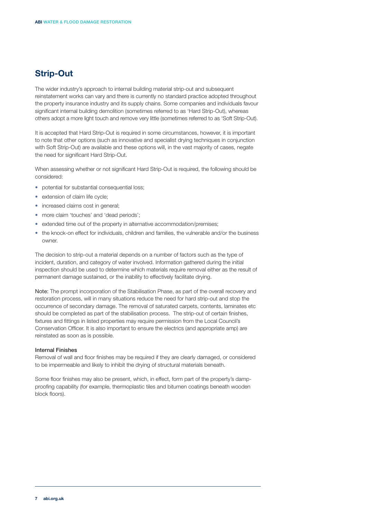# **Strip-Out**

The wider industry's approach to internal building material strip-out and subsequent reinstatement works can vary and there is currently no standard practice adopted throughout the property insurance industry and its supply chains. Some companies and individuals favour significant internal building demolition (sometimes referred to as 'Hard Strip-Out), whereas others adopt a more light touch and remove very little (sometimes referred to as 'Soft Strip-Out).

It is accepted that Hard Strip-Out is required in some circumstances, however, it is important to note that other options (such as innovative and specialist drying techniques in conjunction with Soft Strip-Out) are available and these options will, in the vast majority of cases, negate the need for significant Hard Strip-Out.

When assessing whether or not significant Hard Strip-Out is required, the following should be considered:

- potential for substantial consequential loss;
- extension of claim life cycle;
- increased claims cost in general:
- more claim 'touches' and 'dead periods';
- extended time out of the property in alternative accommodation/premises;
- the knock-on effect for individuals, children and families, the vulnerable and/or the business owner.

The decision to strip-out a material depends on a number of factors such as the type of incident, duration, and category of water involved. Information gathered during the initial inspection should be used to determine which materials require removal either as the result of permanent damage sustained, or the inability to effectively facilitate drying.

Note: The prompt incorporation of the Stabilisation Phase, as part of the overall recovery and restoration process, will in many situations reduce the need for hard strip-out and stop the occurrence of secondary damage. The removal of saturated carpets, contents, laminates etc should be completed as part of the stabilisation process. The strip-out of certain finishes, fixtures and fittings in listed properties may require permission from the Local Council's Conservation Officer. It is also important to ensure the electrics (and appropriate amp) are reinstated as soon as is possible.

#### Internal Finishes

Removal of wall and floor finishes may be required if they are clearly damaged, or considered to be impermeable and likely to inhibit the drying of structural materials beneath.

Some floor finishes may also be present, which, in effect, form part of the property's dampproofing capability (for example, thermoplastic tiles and bitumen coatings beneath wooden block floors).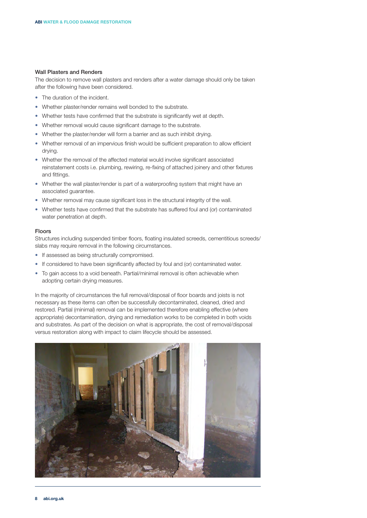#### Wall Plasters and Renders

The decision to remove wall plasters and renders after a water damage should only be taken after the following have been considered.

- The duration of the incident.
- Whether plaster/render remains well bonded to the substrate.
- Whether tests have confirmed that the substrate is significantly wet at depth.
- Whether removal would cause significant damage to the substrate.
- Whether the plaster/render will form a barrier and as such inhibit drying.
- Whether removal of an impervious finish would be sufficient preparation to allow efficient drying.
- Whether the removal of the affected material would involve significant associated reinstatement costs i.e. plumbing, rewiring, re-fixing of attached joinery and other fixtures and fittings.
- Whether the wall plaster/render is part of a waterproofing system that might have an associated guarantee.
- Whether removal may cause significant loss in the structural integrity of the wall.
- Whether tests have confirmed that the substrate has suffered foul and (or) contaminated water penetration at depth.

#### Floors

Structures including suspended timber floors, floating insulated screeds, cementitious screeds/ slabs may require removal in the following circumstances.

- If assessed as being structurally compromised.
- If considered to have been significantly affected by foul and (or) contaminated water.
- To gain access to a void beneath. Partial/minimal removal is often achievable when adopting certain drying measures.

In the majority of circumstances the full removal/disposal of floor boards and joists is not necessary as these items can often be successfully decontaminated, cleaned, dried and restored. Partial (minimal) removal can be implemented therefore enabling effective (where appropriate) decontamination, drying and remediation works to be completed in both voids and substrates. As part of the decision on what is appropriate, the cost of removal/disposal versus restoration along with impact to claim lifecycle should be assessed.

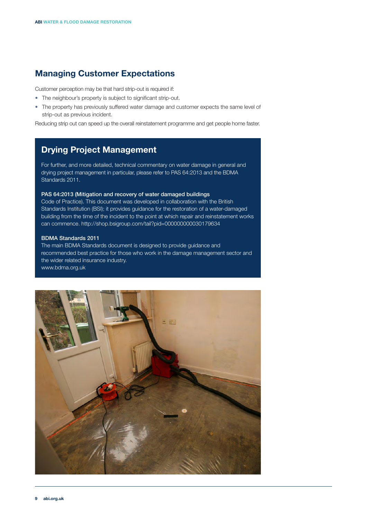# **Managing Customer Expectations**

Customer perception may be that hard strip-out is required if:

- The neighbour's property is subject to significant strip-out.
- The property has previously suffered water damage and customer expects the same level of strip-out as previous incident.

Reducing strip out can speed up the overall reinstatement programme and get people home faster.

# **Drying Project Management**

For further, and more detailed, technical commentary on water damage in general and drying project management in particular, please refer to PAS 64:2013 and the BDMA Standards 2011.

## PAS 64:2013 (Mitigation and recovery of water damaged buildings

Code of Practice). This document was developed in collaboration with the British Standards Institution (BSI); it provides guidance for the restoration of a water-damaged building from the time of the incident to the point at which repair and reinstatement works can commence. http://shop.bsigroup.com/tail?pid=000000000030179634

#### BDMA Standards 2011

The main BDMA Standards document is designed to provide guidance and recommended best practice for those who work in the damage management sector and the wider related insurance industry. www.bdma.org.uk

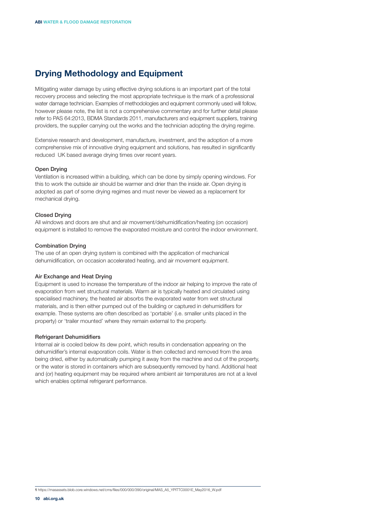# **Drying Methodology and Equipment**

Mitigating water damage by using effective drying solutions is an important part of the total recovery process and selecting the most appropriate technique is the mark of a professional water damage technician. Examples of methodologies and equipment commonly used will follow, however please note, the list is not a comprehensive commentary and for further detail please refer to PAS 64:2013, BDMA Standards 2011, manufacturers and equipment suppliers, training providers, the supplier carrying out the works and the technician adopting the drying regime.

Extensive research and development, manufacture, investment, and the adoption of a more comprehensive mix of innovative drying equipment and solutions, has resulted in significantly reduced UK based average drying times over recent years.

#### Open Drying

Ventilation is increased within a building, which can be done by simply opening windows. For this to work the outside air should be warmer and drier than the inside air. Open drying is adopted as part of some drying regimes and must never be viewed as a replacement for mechanical drying.

#### Closed Drying

All windows and doors are shut and air movement/dehumidification/heating (on occasion) equipment is installed to remove the evaporated moisture and control the indoor environment.

#### Combination Drying

The use of an open drying system is combined with the application of mechanical dehumidification, on occasion accelerated heating, and air movement equipment.

#### Air Exchange and Heat Drying

Equipment is used to increase the temperature of the indoor air helping to improve the rate of evaporation from wet structural materials. Warm air is typically heated and circulated using specialised machinery, the heated air absorbs the evaporated water from wet structural materials, and is then either pumped out of the building or captured in dehumidifiers for example. These systems are often described as 'portable' (i.e. smaller units placed in the property) or 'trailer mounted' where they remain external to the property.

#### Refrigerant Dehumidifiers

Internal air is cooled below its dew point, which results in condensation appearing on the dehumidifier's internal evaporation coils. Water is then collected and removed from the area being dried, either by automatically pumping it away from the machine and out of the property, or the water is stored in containers which are subsequently removed by hand. Additional heat and (or) heating equipment may be required where ambient air temperatures are not at a level which enables optimal refrigerant performance.

**1** https://masassets.blob.core.windows.net/cms/files/000/000/390/original/MAS\_A5\_YPITTC0001E\_May2016\_W.pdf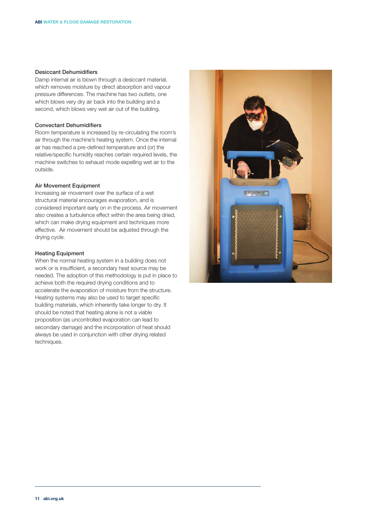#### Desiccant Dehumidifiers

Damp internal air is blown through a desiccant material, which removes moisture by direct absorption and vapour pressure differences. The machine has two outlets, one which blows very dry air back into the building and a second, which blows very wet air out of the building.

## Convectant Dehumidifiers

Room temperature is increased by re-circulating the room's air through the machine's heating system. Once the internal air has reached a pre-defined temperature and (or) the relative/specific humidity reaches certain required levels, the machine switches to exhaust mode expelling wet air to the outside.

### Air Movement Equipment

Increasing air movement over the surface of a wet structural material encourages evaporation, and is considered important early on in the process. Air movement also creates a turbulence effect within the area being dried, which can make drying equipment and techniques more effective. Air movement should be adjusted through the drying cycle.

## Heating Equipment

When the normal heating system in a building does not work or is insufficient, a secondary heat source may be needed. The adoption of this methodology is put in place to achieve both the required drying conditions and to accelerate the evaporation of moisture from the structure. Heating systems may also be used to target specific building materials, which inherently take longer to dry. It should be noted that heating alone is not a viable proposition (as uncontrolled evaporation can lead to secondary damage) and the incorporation of heat should always be used in conjunction with other drying related techniques.

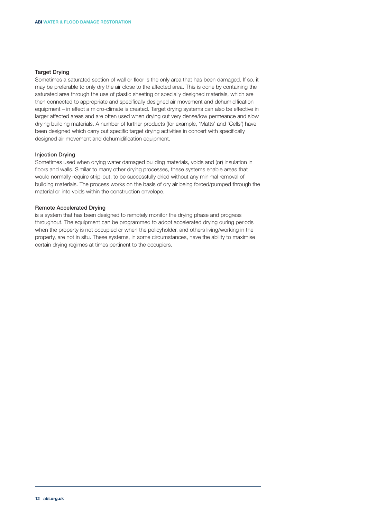## Target Drying

Sometimes a saturated section of wall or floor is the only area that has been damaged. If so, it may be preferable to only dry the air close to the affected area. This is done by containing the saturated area through the use of plastic sheeting or specially designed materials, which are then connected to appropriate and specifically designed air movement and dehumidification equipment – in effect a micro-climate is created. Target drying systems can also be effective in larger affected areas and are often used when drying out very dense/low permeance and slow drying building materials. A number of further products (for example, 'Matts' and 'Cells') have been designed which carry out specific target drying activities in concert with specifically designed air movement and dehumidification equipment.

#### Injection Drying

Sometimes used when drying water damaged building materials, voids and (or) insulation in floors and walls. Similar to many other drying processes, these systems enable areas that would normally require strip-out, to be successfully dried without any minimal removal of building materials. The process works on the basis of dry air being forced/pumped through the material or into voids within the construction envelope.

## Remote Accelerated Drying

is a system that has been designed to remotely monitor the drying phase and progress throughout. The equipment can be programmed to adopt accelerated drying during periods when the property is not occupied or when the policyholder, and others living/working in the property, are not in situ. These systems, in some circumstances, have the ability to maximise certain drying regimes at times pertinent to the occupiers.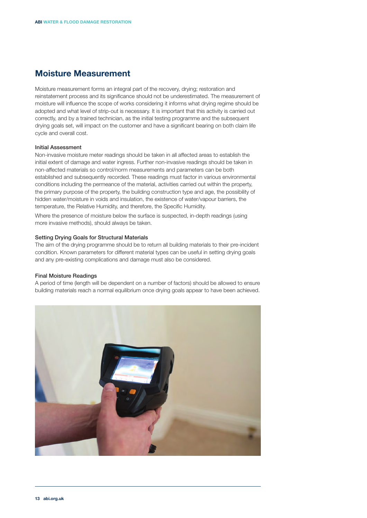# **Moisture Measurement**

Moisture measurement forms an integral part of the recovery, drying; restoration and reinstatement process and its significance should not be underestimated. The measurement of moisture will influence the scope of works considering it informs what drying regime should be adopted and what level of strip-out is necessary. It is important that this activity is carried out correctly, and by a trained technician, as the initial testing programme and the subsequent drying goals set, will impact on the customer and have a significant bearing on both claim life cycle and overall cost.

## Initial Assessment

Non-invasive moisture meter readings should be taken in all affected areas to establish the initial extent of damage and water ingress. Further non-invasive readings should be taken in non-affected materials so control/norm measurements and parameters can be both established and subsequently recorded. These readings must factor in various environmental conditions including the permeance of the material, activities carried out within the property, the primary purpose of the property, the building construction type and age, the possibility of hidden water/moisture in voids and insulation, the existence of water/vapour barriers, the temperature, the Relative Humidity, and therefore, the Specific Humidity.

Where the presence of moisture below the surface is suspected, in-depth readings (using more invasive methods), should always be taken.

#### Setting Drying Goals for Structural Materials

The aim of the drying programme should be to return all building materials to their pre-incident condition. Known parameters for different material types can be useful in setting drying goals and any pre-existing complications and damage must also be considered.

#### Final Moisture Readings

A period of time (length will be dependent on a number of factors) should be allowed to ensure building materials reach a normal equilibrium once drying goals appear to have been achieved.

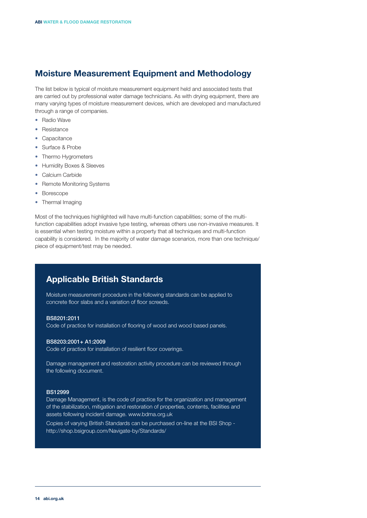# **Moisture Measurement Equipment and Methodology**

The list below is typical of moisture measurement equipment held and associated tests that are carried out by professional water damage technicians. As with drying equipment, there are many varying types of moisture measurement devices, which are developed and manufactured through a range of companies.

- Radio Wave
- Resistance
- Capacitance
- Surface & Probe
- Thermo Hygrometers
- • Humidity Boxes & Sleeves
- • Calcium Carbide
- Remote Monitoring Systems
- • Borescope
- Thermal Imaging

Most of the techniques highlighted will have multi-function capabilities; some of the multifunction capabilities adopt invasive type testing, whereas others use non-invasive measures. It is essential when testing moisture within a property that all techniques and multi-function capability is considered. In the majority of water damage scenarios, more than one technique/ piece of equipment/test may be needed.

## **Applicable British Standards**

Moisture measurement procedure in the following standards can be applied to concrete floor slabs and a variation of floor screeds.

#### BS8201:2011

Code of practice for installation of flooring of wood and wood based panels.

#### BS8203:2001+ A1:2009

Code of practice for installation of resilient floor coverings.

Damage management and restoration activity procedure can be reviewed through the following document.

#### BS12999

Damage Management, is the code of practice for the organization and management of the stabilization, mitigation and restoration of properties, contents, facilities and assets following incident damage. www.bdma.org.uk

Copies of varying British Standards can be purchased on-line at the BSI Shop http://shop.bsigroup.com/Navigate-by/Standards/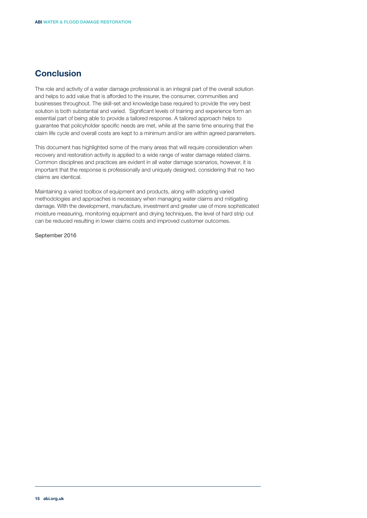## **Conclusion**

The role and activity of a water damage professional is an integral part of the overall solution and helps to add value that is afforded to the insurer, the consumer, communities and businesses throughout. The skill-set and knowledge base required to provide the very best solution is both substantial and varied. Significant levels of training and experience form an essential part of being able to provide a tailored response. A tailored approach helps to guarantee that policyholder specific needs are met, while at the same time ensuring that the claim life cycle and overall costs are kept to a minimum and/or are within agreed parameters.

This document has highlighted some of the many areas that will require consideration when recovery and restoration activity is applied to a wide range of water damage related claims. Common disciplines and practices are evident in all water damage scenarios, however, it is important that the response is professionally and uniquely designed, considering that no two claims are identical.

Maintaining a varied toolbox of equipment and products, along with adopting varied methodologies and approaches is necessary when managing water claims and mitigating damage. With the development, manufacture, investment and greater use of more sophisticated moisture measuring, monitoring equipment and drying techniques, the level of hard strip out can be reduced resulting in lower claims costs and improved customer outcomes.

September 2016